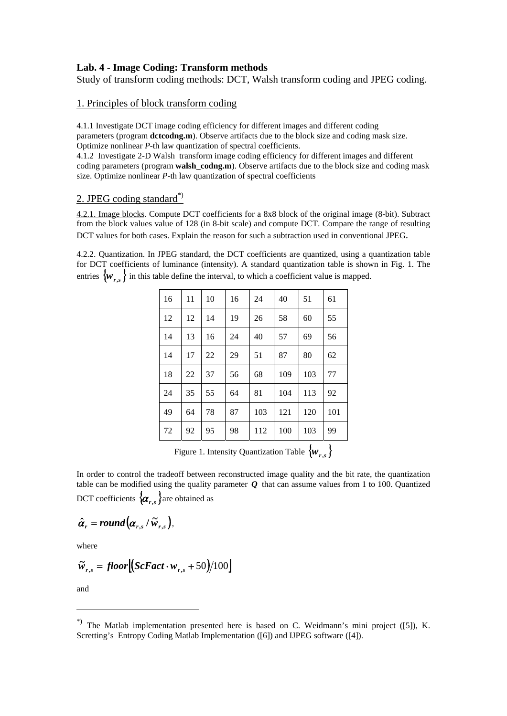# **Lab. 4 - Image Coding: Transform methods**

Study of transform coding methods: DCT, Walsh transform coding and JPEG coding.

## 1. Principles of block transform coding

4.1.1 Investigate DCT image coding efficiency for different images and different coding parameters (program **dctcodng.m**). Observe artifacts due to the block size and coding mask size. Optimize nonlinear *P*-th law quantization of spectral coefficients.

4.1.2 Investigate 2-D Walsh transform image coding efficiency for different images and different coding parameters (program **walsh codng.m**). Observe artifacts due to the block size and coding mask size. Optimize nonlinear *P*-th law quantization of spectral coefficients

## 2. JPEG coding standard\*)

4.2.1. Image blocks. Compute DCT coefficients for a 8x8 block of the original image (8-bit). Subtract from the block values value of 128 (in 8-bit scale) and compute DCT. Compare the range of resulting DCT values for both cases. Explain the reason for such a subtraction used in conventional JPEG.

4.2.2. Quantization. In JPEG standard, the DCT coefficients are quantized, using a quantization table for DCT coefficients of luminance (intensity). A standard quantization table is shown in Fig. 1. The entries  $\{w_{r,s}\}\$  in this table define the interval, to which a coefficient value is mapped.

| 16 | 11 | 10 | 16 | 24  | 40  | 51  | 61  |
|----|----|----|----|-----|-----|-----|-----|
| 12 | 12 | 14 | 19 | 26  | 58  | 60  | 55  |
| 14 | 13 | 16 | 24 | 40  | 57  | 69  | 56  |
| 14 | 17 | 22 | 29 | 51  | 87  | 80  | 62  |
| 18 | 22 | 37 | 56 | 68  | 109 | 103 | 77  |
| 24 | 35 | 55 | 64 | 81  | 104 | 113 | 92  |
| 49 | 64 | 78 | 87 | 103 | 121 | 120 | 101 |
| 72 | 92 | 95 | 98 | 112 | 100 | 103 | 99  |
|    |    |    |    |     |     |     |     |

Figure 1. Intensity Quantization Table {*wr***,***s*}

In order to control the tradeoff between reconstructed image quality and the bit rate, the quantization table can be modified using the quality parameter *Q* that can assume values from 1 to 100. Quantized DCT coefficients  $\{\boldsymbol{\alpha}_{r,s}\}$  are obtained as

$$
\hat{\alpha}_r = round(\alpha_{r,s} / \tilde{w}_{r,s}),
$$

where

$$
\widetilde{w}_{r,s} = floor[(ScFact \cdot w_{r,s} + 50)/100]
$$

and

1

<sup>\*)</sup> The Matlab implementation presented here is based on C. Weidmann's mini project ([5]), K. Scretting's Entropy Coding Matlab Implementation ([6]) and IJPEG software ([4]).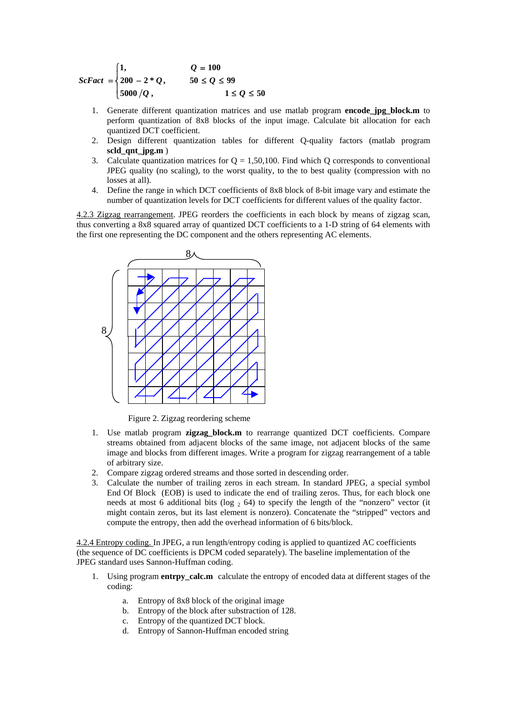$$
ScFact = \begin{cases} 1, & Q = 100 \\ 200 - 2 * Q, & 50 \le Q \le 99 \\ 5000 / Q, & 1 \le Q \le 50 \end{cases}
$$

- 1. Generate different quantization matrices and use matlab program **encode\_jpg\_block.m** to perform quantization of 8x8 blocks of the input image. Calculate bit allocation for each quantized DCT coefficient.
- 2. Design different quantization tables for different Q-quality factors (matlab program **scld\_qnt\_jpg.m** )
- 3. Calculate quantization matrices for  $Q = 1,50,100$ . Find which Q corresponds to conventional JPEG quality (no scaling), to the worst quality, to the to best quality (compression with no losses at all).
- 4. Define the range in which DCT coefficients of 8x8 block of 8-bit image vary and estimate the number of quantization levels for DCT coefficients for different values of the quality factor.

4.2.3 Zigzag rearrangement. JPEG reorders the coefficients in each block by means of zigzag scan, thus converting a 8x8 squared array of quantized DCT coefficients to a 1-D string of 64 elements with the first one representing the DC component and the others representing AC elements.



Figure 2. Zigzag reordering scheme

- 1. Use matlab program **zigzag\_block.m** to rearrange quantized DCT coefficients. Compare streams obtained from adjacent blocks of the same image, not adjacent blocks of the same image and blocks from different images. Write a program for zigzag rearrangement of a table of arbitrary size.
- 2. Compare zigzag ordered streams and those sorted in descending order.
- 3. Calculate the number of trailing zeros in each stream. In standard JPEG, a special symbol End Of Block (EOB) is used to indicate the end of trailing zeros. Thus, for each block one needs at most 6 additional bits (log  $_2$  64) to specify the length of the "nonzero" vector (it might contain zeros, but its last element is nonzero). Concatenate the "stripped" vectors and compute the entropy, then add the overhead information of 6 bits/block.

4.2.4 Entropy coding. In JPEG, a run length/entropy coding is applied to quantized AC coefficients (the sequence of DC coefficients is DPCM coded separately). The baseline implementation of the JPEG standard uses Sannon-Huffman coding.

- 1. Using program **entrpy\_calc.m** calculate the entropy of encoded data at different stages of the coding:
	- a. Entropy of 8x8 block of the original image
	- b. Entropy of the block after substraction of 128.
	- c. Entropy of the quantized DCT block.
	- d. Entropy of Sannon-Huffman encoded string